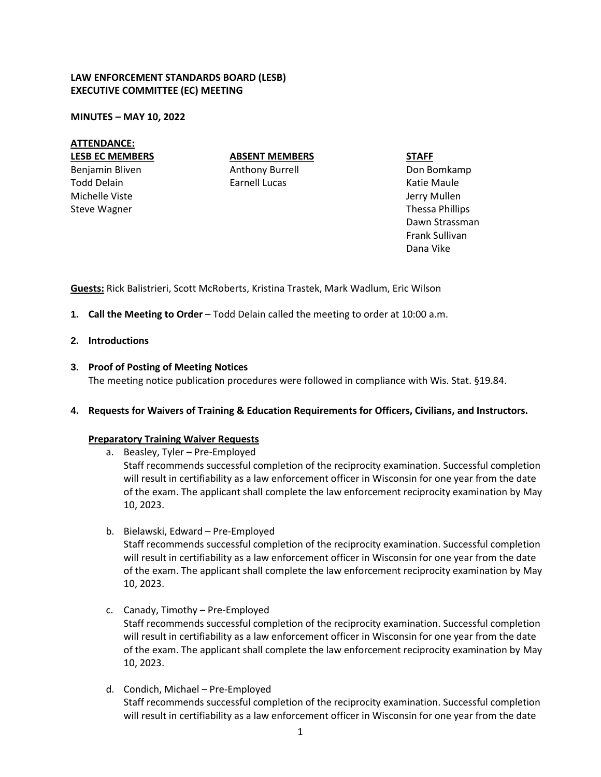## **LAW ENFORCEMENT STANDARDS BOARD (LESB) EXECUTIVE COMMITTEE (EC) MEETING**

**MINUTES – MAY 10, 2022**

### **ATTENDANCE:**

#### **LESB EC MEMBERS**

Benjamin Bliven Todd Delain Michelle Viste Steve Wagner

**ABSENT MEMBERS** Anthony Burrell Earnell Lucas

**STAFF** Don Bomkamp Katie Maule Jerry Mullen Thessa Phillips Dawn Strassman Frank Sullivan Dana Vike

**Guests:** Rick Balistrieri, Scott McRoberts, Kristina Trastek, Mark Wadlum, Eric Wilson

- **1. Call the Meeting to Order** Todd Delain called the meeting to order at 10:00 a.m.
- **2. Introductions**
- **3. Proof of Posting of Meeting Notices** The meeting notice publication procedures were followed in compliance with Wis. Stat. §19.84.
- **4. Requests for Waivers of Training & Education Requirements for Officers, Civilians, and Instructors.**

### **Preparatory Training Waiver Requests**

a. Beasley, Tyler – Pre-Employed

Staff recommends successful completion of the reciprocity examination. Successful completion will result in certifiability as a law enforcement officer in Wisconsin for one year from the date of the exam. The applicant shall complete the law enforcement reciprocity examination by May 10, 2023.

- b. Bielawski, Edward Pre-Employed Staff recommends successful completion of the reciprocity examination. Successful completion will result in certifiability as a law enforcement officer in Wisconsin for one year from the date of the exam. The applicant shall complete the law enforcement reciprocity examination by May 10, 2023.
- c. Canady, Timothy Pre-Employed Staff recommends successful completion of the reciprocity examination. Successful completion will result in certifiability as a law enforcement officer in Wisconsin for one year from the date of the exam. The applicant shall complete the law enforcement reciprocity examination by May 10, 2023.
- d. Condich, Michael Pre-Employed Staff recommends successful completion of the reciprocity examination. Successful completion will result in certifiability as a law enforcement officer in Wisconsin for one year from the date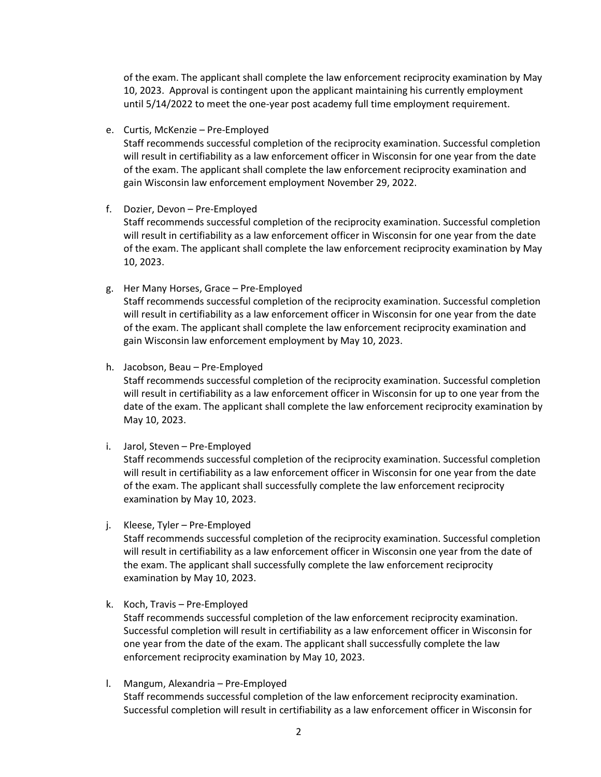of the exam. The applicant shall complete the law enforcement reciprocity examination by May 10, 2023. Approval is contingent upon the applicant maintaining his currently employment until 5/14/2022 to meet the one-year post academy full time employment requirement.

e. Curtis, McKenzie – Pre-Employed

Staff recommends successful completion of the reciprocity examination. Successful completion will result in certifiability as a law enforcement officer in Wisconsin for one year from the date of the exam. The applicant shall complete the law enforcement reciprocity examination and gain Wisconsin law enforcement employment November 29, 2022.

f. Dozier, Devon – Pre-Employed

Staff recommends successful completion of the reciprocity examination. Successful completion will result in certifiability as a law enforcement officer in Wisconsin for one year from the date of the exam. The applicant shall complete the law enforcement reciprocity examination by May 10, 2023.

- g. Her Many Horses, Grace Pre-Employed Staff recommends successful completion of the reciprocity examination. Successful completion will result in certifiability as a law enforcement officer in Wisconsin for one year from the date of the exam. The applicant shall complete the law enforcement reciprocity examination and gain Wisconsin law enforcement employment by May 10, 2023.
- h. Jacobson, Beau Pre-Employed

Staff recommends successful completion of the reciprocity examination. Successful completion will result in certifiability as a law enforcement officer in Wisconsin for up to one year from the date of the exam. The applicant shall complete the law enforcement reciprocity examination by May 10, 2023.

i. Jarol, Steven – Pre-Employed

Staff recommends successful completion of the reciprocity examination. Successful completion will result in certifiability as a law enforcement officer in Wisconsin for one year from the date of the exam. The applicant shall successfully complete the law enforcement reciprocity examination by May 10, 2023.

j. Kleese, Tyler – Pre-Employed

Staff recommends successful completion of the reciprocity examination. Successful completion will result in certifiability as a law enforcement officer in Wisconsin one year from the date of the exam. The applicant shall successfully complete the law enforcement reciprocity examination by May 10, 2023.

k. Koch, Travis – Pre-Employed

Staff recommends successful completion of the law enforcement reciprocity examination. Successful completion will result in certifiability as a law enforcement officer in Wisconsin for one year from the date of the exam. The applicant shall successfully complete the law enforcement reciprocity examination by May 10, 2023.

l. Mangum, Alexandria – Pre-Employed Staff recommends successful completion of the law enforcement reciprocity examination. Successful completion will result in certifiability as a law enforcement officer in Wisconsin for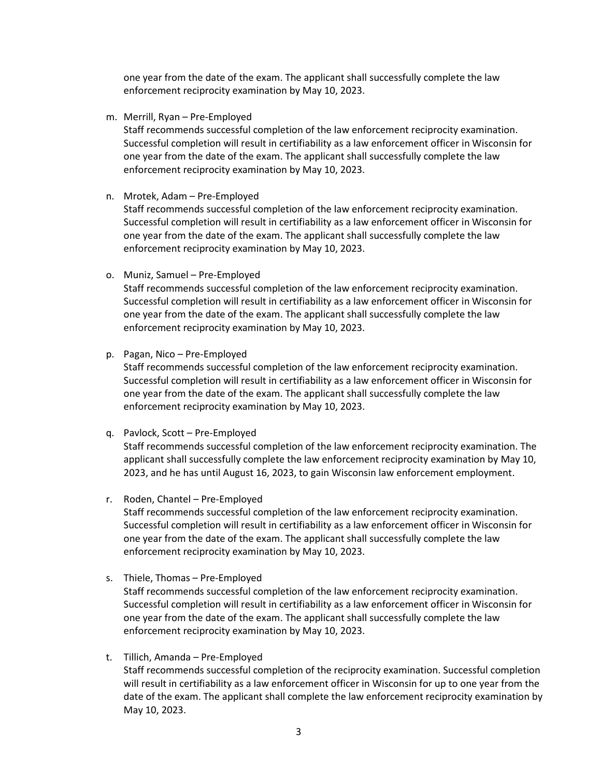one year from the date of the exam. The applicant shall successfully complete the law enforcement reciprocity examination by May 10, 2023.

m. Merrill, Ryan – Pre-Employed

Staff recommends successful completion of the law enforcement reciprocity examination. Successful completion will result in certifiability as a law enforcement officer in Wisconsin for one year from the date of the exam. The applicant shall successfully complete the law enforcement reciprocity examination by May 10, 2023.

n. Mrotek, Adam – Pre-Employed

Staff recommends successful completion of the law enforcement reciprocity examination. Successful completion will result in certifiability as a law enforcement officer in Wisconsin for one year from the date of the exam. The applicant shall successfully complete the law enforcement reciprocity examination by May 10, 2023.

o. Muniz, Samuel – Pre-Employed

Staff recommends successful completion of the law enforcement reciprocity examination. Successful completion will result in certifiability as a law enforcement officer in Wisconsin for one year from the date of the exam. The applicant shall successfully complete the law enforcement reciprocity examination by May 10, 2023.

p. Pagan, Nico – Pre-Employed

Staff recommends successful completion of the law enforcement reciprocity examination. Successful completion will result in certifiability as a law enforcement officer in Wisconsin for one year from the date of the exam. The applicant shall successfully complete the law enforcement reciprocity examination by May 10, 2023.

q. Pavlock, Scott – Pre-Employed

Staff recommends successful completion of the law enforcement reciprocity examination. The applicant shall successfully complete the law enforcement reciprocity examination by May 10, 2023, and he has until August 16, 2023, to gain Wisconsin law enforcement employment.

r. Roden, Chantel – Pre-Employed

Staff recommends successful completion of the law enforcement reciprocity examination. Successful completion will result in certifiability as a law enforcement officer in Wisconsin for one year from the date of the exam. The applicant shall successfully complete the law enforcement reciprocity examination by May 10, 2023.

s. Thiele, Thomas – Pre-Employed

Staff recommends successful completion of the law enforcement reciprocity examination. Successful completion will result in certifiability as a law enforcement officer in Wisconsin for one year from the date of the exam. The applicant shall successfully complete the law enforcement reciprocity examination by May 10, 2023.

t. Tillich, Amanda – Pre-Employed

Staff recommends successful completion of the reciprocity examination. Successful completion will result in certifiability as a law enforcement officer in Wisconsin for up to one year from the date of the exam. The applicant shall complete the law enforcement reciprocity examination by May 10, 2023.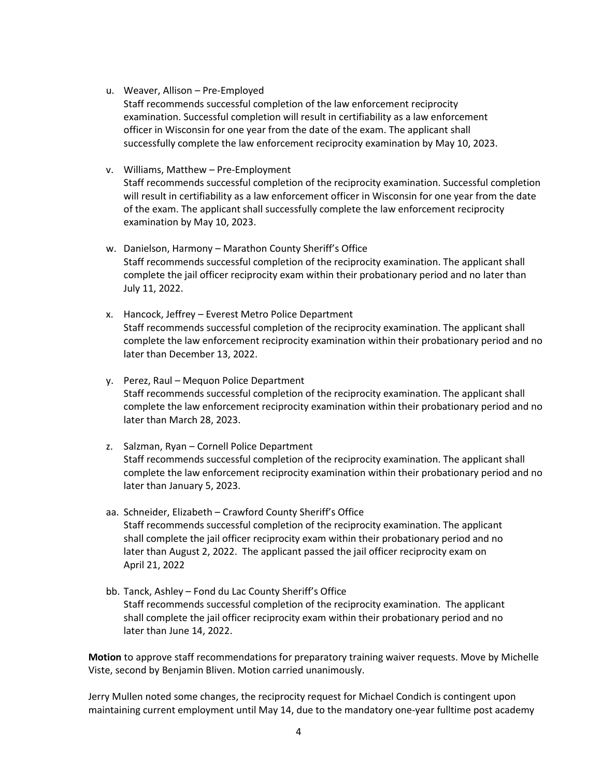u. Weaver, Allison – Pre-Employed

Staff recommends successful completion of the law enforcement reciprocity examination. Successful completion will result in certifiability as a law enforcement officer in Wisconsin for one year from the date of the exam. The applicant shall successfully complete the law enforcement reciprocity examination by May 10, 2023.

v. Williams, Matthew – Pre-Employment

Staff recommends successful completion of the reciprocity examination. Successful completion will result in certifiability as a law enforcement officer in Wisconsin for one year from the date of the exam. The applicant shall successfully complete the law enforcement reciprocity examination by May 10, 2023.

- w. Danielson, Harmony Marathon County Sheriff's Office Staff recommends successful completion of the reciprocity examination. The applicant shall complete the jail officer reciprocity exam within their probationary period and no later than July 11, 2022.
- x. Hancock, Jeffrey Everest Metro Police Department Staff recommends successful completion of the reciprocity examination. The applicant shall complete the law enforcement reciprocity examination within their probationary period and no later than December 13, 2022.
- y. Perez, Raul Mequon Police Department Staff recommends successful completion of the reciprocity examination. The applicant shall complete the law enforcement reciprocity examination within their probationary period and no later than March 28, 2023.
- z. Salzman, Ryan Cornell Police Department Staff recommends successful completion of the reciprocity examination. The applicant shall complete the law enforcement reciprocity examination within their probationary period and no later than January 5, 2023.
- aa. Schneider, Elizabeth Crawford County Sheriff's Office Staff recommends successful completion of the reciprocity examination. The applicant shall complete the jail officer reciprocity exam within their probationary period and no later than August 2, 2022. The applicant passed the jail officer reciprocity exam on April 21, 2022
- bb. Tanck, Ashley Fond du Lac County Sheriff's Office Staff recommends successful completion of the reciprocity examination. The applicant shall complete the jail officer reciprocity exam within their probationary period and no later than June 14, 2022.

**Motion** to approve staff recommendations for preparatory training waiver requests. Move by Michelle Viste, second by Benjamin Bliven. Motion carried unanimously.

Jerry Mullen noted some changes, the reciprocity request for Michael Condich is contingent upon maintaining current employment until May 14, due to the mandatory one-year fulltime post academy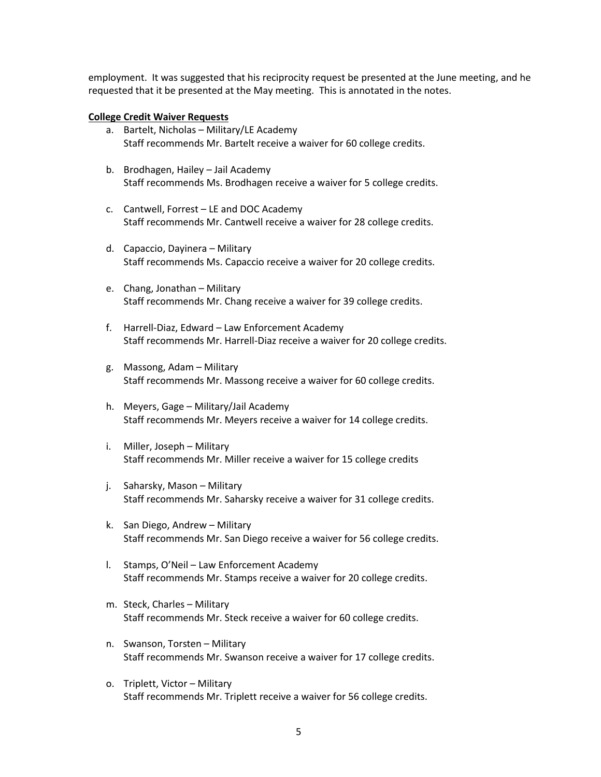employment. It was suggested that his reciprocity request be presented at the June meeting, and he requested that it be presented at the May meeting. This is annotated in the notes.

#### **College Credit Waiver Requests**

- a. Bartelt, Nicholas Military/LE Academy Staff recommends Mr. Bartelt receive a waiver for 60 college credits.
- b. Brodhagen, Hailey Jail Academy Staff recommends Ms. Brodhagen receive a waiver for 5 college credits.
- c. Cantwell, Forrest LE and DOC Academy Staff recommends Mr. Cantwell receive a waiver for 28 college credits.
- d. Capaccio, Dayinera Military Staff recommends Ms. Capaccio receive a waiver for 20 college credits.
- e. Chang, Jonathan Military Staff recommends Mr. Chang receive a waiver for 39 college credits.
- f. Harrell-Diaz, Edward Law Enforcement Academy Staff recommends Mr. Harrell-Diaz receive a waiver for 20 college credits.
- g. Massong, Adam Military Staff recommends Mr. Massong receive a waiver for 60 college credits.
- h. Meyers, Gage Military/Jail Academy Staff recommends Mr. Meyers receive a waiver for 14 college credits.
- i. Miller, Joseph Military Staff recommends Mr. Miller receive a waiver for 15 college credits
- j. Saharsky, Mason Military Staff recommends Mr. Saharsky receive a waiver for 31 college credits.
- k. San Diego, Andrew Military Staff recommends Mr. San Diego receive a waiver for 56 college credits.
- l. Stamps, O'Neil Law Enforcement Academy Staff recommends Mr. Stamps receive a waiver for 20 college credits.
- m. Steck, Charles Military Staff recommends Mr. Steck receive a waiver for 60 college credits.
- n. Swanson, Torsten Military Staff recommends Mr. Swanson receive a waiver for 17 college credits.
- o. Triplett, Victor Military Staff recommends Mr. Triplett receive a waiver for 56 college credits.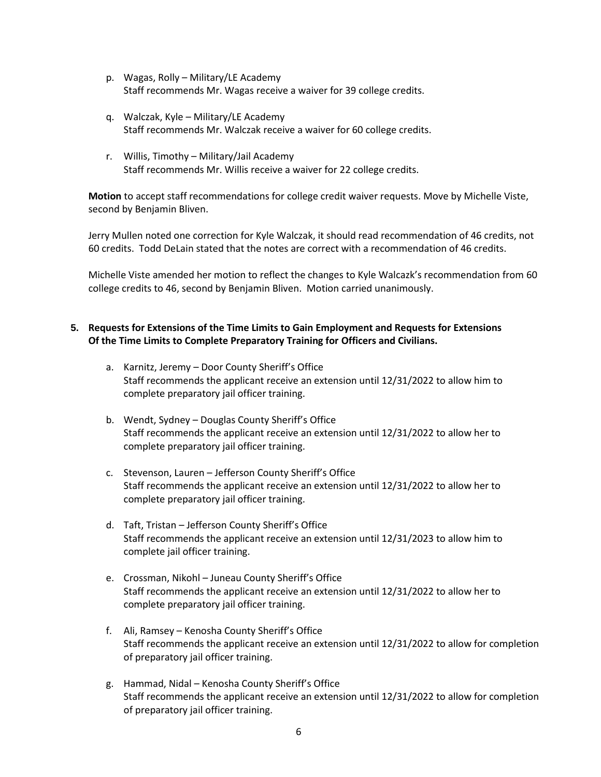- p. Wagas, Rolly Military/LE Academy Staff recommends Mr. Wagas receive a waiver for 39 college credits.
- q. Walczak, Kyle Military/LE Academy Staff recommends Mr. Walczak receive a waiver for 60 college credits.
- r. Willis, Timothy Military/Jail Academy Staff recommends Mr. Willis receive a waiver for 22 college credits.

**Motion** to accept staff recommendations for college credit waiver requests. Move by Michelle Viste, second by Benjamin Bliven.

Jerry Mullen noted one correction for Kyle Walczak, it should read recommendation of 46 credits, not 60 credits. Todd DeLain stated that the notes are correct with a recommendation of 46 credits.

Michelle Viste amended her motion to reflect the changes to Kyle Walcazk's recommendation from 60 college credits to 46, second by Benjamin Bliven. Motion carried unanimously.

# **5. Requests for Extensions of the Time Limits to Gain Employment and Requests for Extensions Of the Time Limits to Complete Preparatory Training for Officers and Civilians.**

- a. Karnitz, Jeremy Door County Sheriff's Office Staff recommends the applicant receive an extension until 12/31/2022 to allow him to complete preparatory jail officer training.
- b. Wendt, Sydney Douglas County Sheriff's Office Staff recommends the applicant receive an extension until 12/31/2022 to allow her to complete preparatory jail officer training.
- c. Stevenson, Lauren Jefferson County Sheriff's Office Staff recommends the applicant receive an extension until 12/31/2022 to allow her to complete preparatory jail officer training.
- d. Taft, Tristan Jefferson County Sheriff's Office Staff recommends the applicant receive an extension until 12/31/2023 to allow him to complete jail officer training.
- e. Crossman, Nikohl Juneau County Sheriff's Office Staff recommends the applicant receive an extension until 12/31/2022 to allow her to complete preparatory jail officer training.
- f. Ali, Ramsey Kenosha County Sheriff's Office Staff recommends the applicant receive an extension until 12/31/2022 to allow for completion of preparatory jail officer training.
- g. Hammad, Nidal Kenosha County Sheriff's Office Staff recommends the applicant receive an extension until 12/31/2022 to allow for completion of preparatory jail officer training.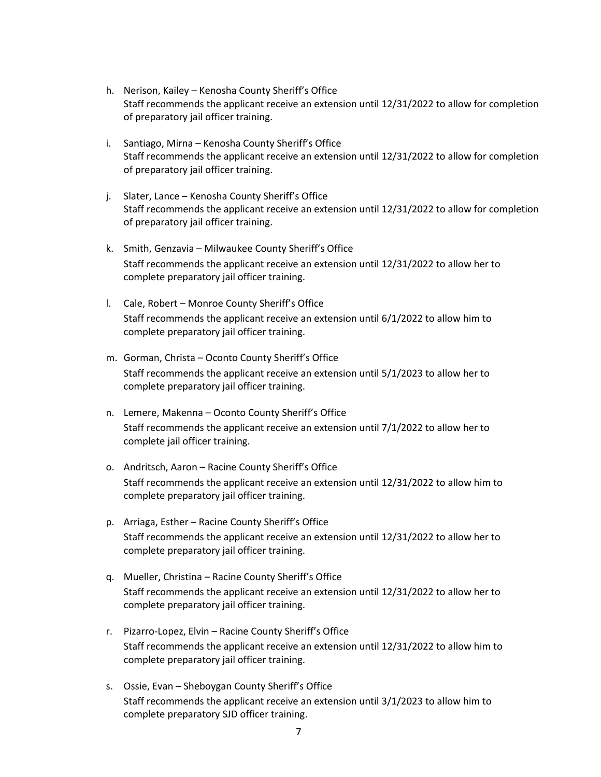- h. Nerison, Kailey Kenosha County Sheriff's Office Staff recommends the applicant receive an extension until 12/31/2022 to allow for completion of preparatory jail officer training.
- i. Santiago, Mirna Kenosha County Sheriff's Office Staff recommends the applicant receive an extension until 12/31/2022 to allow for completion of preparatory jail officer training.
- j. Slater, Lance Kenosha County Sheriff's Office Staff recommends the applicant receive an extension until 12/31/2022 to allow for completion of preparatory jail officer training.
- k. Smith, Genzavia Milwaukee County Sheriff's Office Staff recommends the applicant receive an extension until 12/31/2022 to allow her to complete preparatory jail officer training.
- l. Cale, Robert Monroe County Sheriff's Office Staff recommends the applicant receive an extension until 6/1/2022 to allow him to complete preparatory jail officer training.
- m. Gorman, Christa Oconto County Sheriff's Office Staff recommends the applicant receive an extension until 5/1/2023 to allow her to complete preparatory jail officer training.
- n. Lemere, Makenna Oconto County Sheriff's Office Staff recommends the applicant receive an extension until 7/1/2022 to allow her to complete jail officer training.
- o. Andritsch, Aaron Racine County Sheriff's Office Staff recommends the applicant receive an extension until 12/31/2022 to allow him to complete preparatory jail officer training.
- p. Arriaga, Esther Racine County Sheriff's Office Staff recommends the applicant receive an extension until 12/31/2022 to allow her to complete preparatory jail officer training.
- q. Mueller, Christina Racine County Sheriff's Office Staff recommends the applicant receive an extension until 12/31/2022 to allow her to complete preparatory jail officer training.
- r. Pizarro-Lopez, Elvin Racine County Sheriff's Office Staff recommends the applicant receive an extension until 12/31/2022 to allow him to complete preparatory jail officer training.
- s. Ossie, Evan Sheboygan County Sheriff's Office Staff recommends the applicant receive an extension until 3/1/2023 to allow him to complete preparatory SJD officer training.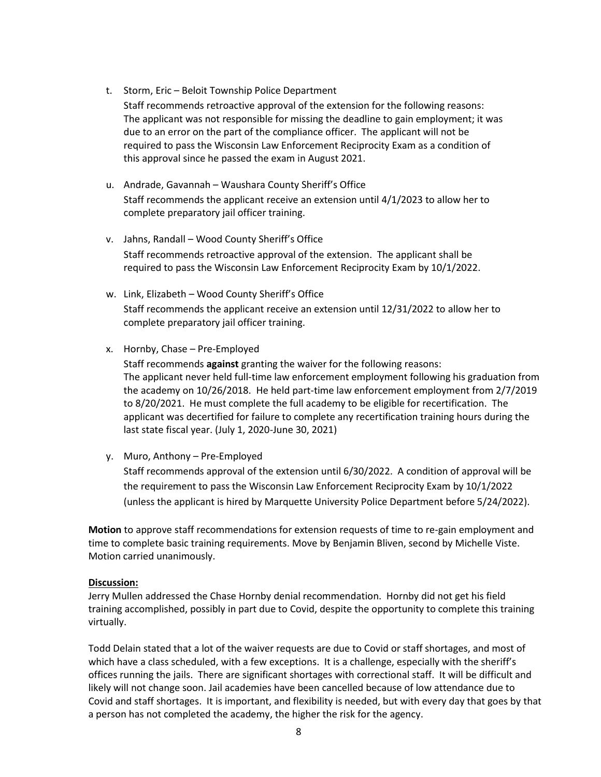t. Storm, Eric – Beloit Township Police Department

Staff recommends retroactive approval of the extension for the following reasons: The applicant was not responsible for missing the deadline to gain employment; it was due to an error on the part of the compliance officer. The applicant will not be required to pass the Wisconsin Law Enforcement Reciprocity Exam as a condition of this approval since he passed the exam in August 2021.

- u. Andrade, Gavannah Waushara County Sheriff's Office Staff recommends the applicant receive an extension until 4/1/2023 to allow her to complete preparatory jail officer training.
- v. Jahns, Randall Wood County Sheriff's Office Staff recommends retroactive approval of the extension. The applicant shall be required to pass the Wisconsin Law Enforcement Reciprocity Exam by 10/1/2022.
- w. Link, Elizabeth Wood County Sheriff's Office Staff recommends the applicant receive an extension until 12/31/2022 to allow her to complete preparatory jail officer training.
- x. Hornby, Chase Pre-Employed

Staff recommends **against** granting the waiver for the following reasons: The applicant never held full-time law enforcement employment following his graduation from the academy on 10/26/2018. He held part-time law enforcement employment from 2/7/2019 to 8/20/2021. He must complete the full academy to be eligible for recertification. The applicant was decertified for failure to complete any recertification training hours during the last state fiscal year. (July 1, 2020-June 30, 2021)

y. Muro, Anthony – Pre-Employed

Staff recommends approval of the extension until 6/30/2022. A condition of approval will be the requirement to pass the Wisconsin Law Enforcement Reciprocity Exam by 10/1/2022 (unless the applicant is hired by Marquette University Police Department before 5/24/2022).

**Motion** to approve staff recommendations for extension requests of time to re-gain employment and time to complete basic training requirements. Move by Benjamin Bliven, second by Michelle Viste. Motion carried unanimously.

## **Discussion:**

Jerry Mullen addressed the Chase Hornby denial recommendation. Hornby did not get his field training accomplished, possibly in part due to Covid, despite the opportunity to complete this training virtually.

Todd Delain stated that a lot of the waiver requests are due to Covid or staff shortages, and most of which have a class scheduled, with a few exceptions. It is a challenge, especially with the sheriff's offices running the jails. There are significant shortages with correctional staff. It will be difficult and likely will not change soon. Jail academies have been cancelled because of low attendance due to Covid and staff shortages. It is important, and flexibility is needed, but with every day that goes by that a person has not completed the academy, the higher the risk for the agency.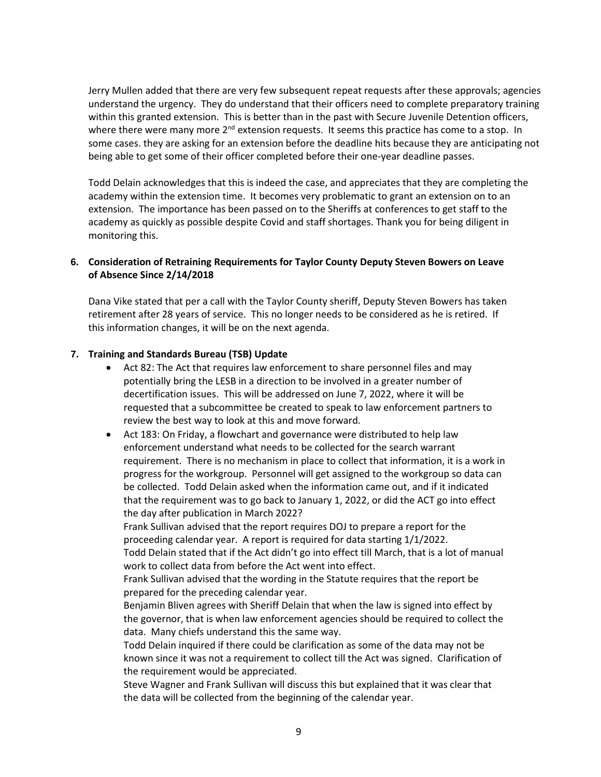Jerry Mullen added that there are very few subsequent repeat requests after these approvals; agencies understand the urgency. They do understand that their officers need to complete preparatory training within this granted extension. This is better than in the past with Secure Juvenile Detention officers, where there were many more  $2^{nd}$  extension requests. It seems this practice has come to a stop. In some cases. they are asking for an extension before the deadline hits because they are anticipating not being able to get some of their officer completed before their one-year deadline passes.

Todd Delain acknowledges that this is indeed the case, and appreciates that they are completing the academy within the extension time. It becomes very problematic to grant an extension on to an extension. The importance has been passed on to the Sheriffs at conferences to get staff to the academy as quickly as possible despite Covid and staff shortages. Thank you for being diligent in monitoring this.

# **6. Consideration of Retraining Requirements for Taylor County Deputy Steven Bowers on Leave of Absence Since 2/14/2018**

Dana Vike stated that per a call with the Taylor County sheriff, Deputy Steven Bowers has taken retirement after 28 years of service. This no longer needs to be considered as he is retired. If this information changes, it will be on the next agenda.

## **7. Training and Standards Bureau (TSB) Update**

- Act 82: The Act that requires law enforcement to share personnel files and may potentially bring the LESB in a direction to be involved in a greater number of decertification issues. This will be addressed on June 7, 2022, where it will be requested that a subcommittee be created to speak to law enforcement partners to review the best way to look at this and move forward.
- Act 183: On Friday, a flowchart and governance were distributed to help law enforcement understand what needs to be collected for the search warrant requirement. There is no mechanism in place to collect that information, it is a work in progress for the workgroup. Personnel will get assigned to the workgroup so data can be collected. Todd Delain asked when the information came out, and if it indicated that the requirement was to go back to January 1, 2022, or did the ACT go into effect the day after publication in March 2022?

Frank Sullivan advised that the report requires DOJ to prepare a report for the proceeding calendar year. A report is required for data starting 1/1/2022.

Todd Delain stated that if the Act didn't go into effect till March, that is a lot of manual work to collect data from before the Act went into effect.

Frank Sullivan advised that the wording in the Statute requires that the report be prepared for the preceding calendar year.

Benjamin Bliven agrees with Sheriff Delain that when the law is signed into effect by the governor, that is when law enforcement agencies should be required to collect the data. Many chiefs understand this the same way.

Todd Delain inquired if there could be clarification as some of the data may not be known since it was not a requirement to collect till the Act was signed. Clarification of the requirement would be appreciated.

Steve Wagner and Frank Sullivan will discuss this but explained that it was clear that the data will be collected from the beginning of the calendar year.